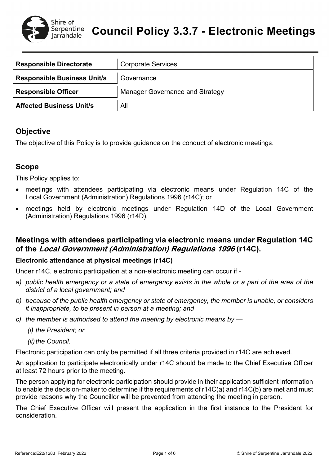

| <b>Responsible Directorate</b>     | <b>Corporate Services</b>              |
|------------------------------------|----------------------------------------|
| <b>Responsible Business Unit/s</b> | Governance                             |
| <b>Responsible Officer</b>         | <b>Manager Governance and Strategy</b> |
| <b>Affected Business Unit/s</b>    | All                                    |

# **Objective**

The objective of this Policy is to provide guidance on the conduct of electronic meetings.

# **Scope**

This Policy applies to:

- meetings with attendees participating via electronic means under Regulation 14C of the Local Government (Administration) Regulations 1996 (r14C); or
- meetings held by electronic meetings under Regulation 14D of the Local Government (Administration) Regulations 1996 (r14D).

## **Meetings with attendees participating via electronic means under Regulation 14C of the Local Government (Administration) Regulations 1996 (r14C).**

## **Electronic attendance at physical meetings (r14C)**

Under r14C, electronic participation at a non-electronic meeting can occur if -

- *a) public health emergency or a state of emergency exists in the whole or a part of the area of the district of a local government; and*
- *b) because of the public health emergency or state of emergency, the member is unable, or considers it inappropriate, to be present in person at a meeting; and*
- *c) the member is authorised to attend the meeting by electronic means by —*
	- *(i) the President; or*

*(ii)* the Council.

Electronic participation can only be permitted if all three criteria provided in r14C are achieved.

An application to participate electronically under r14C should be made to the Chief Executive Officer at least 72 hours prior to the meeting.

The person applying for electronic participation should provide in their application sufficient information to enable the decision-maker to determine if the requirements of r14C(a) and r14C(b) are met and must provide reasons why the Councillor will be prevented from attending the meeting in person.

The Chief Executive Officer will present the application in the first instance to the President for consideration.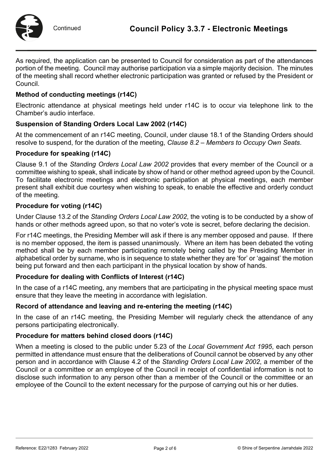

As required, the application can be presented to Council for consideration as part of the attendances portion of the meeting. Council may authorise participation via a simple majority decision. The minutes of the meeting shall record whether electronic participation was granted or refused by the President or Council.

### **Method of conducting meetings (r14C)**

Electronic attendance at physical meetings held under r14C is to occur via telephone link to the Chamber's audio interface.

### **Suspension of Standing Orders Local Law 2002 (r14C)**

At the commencement of an r14C meeting, Council, under clause 18.1 of the Standing Orders should resolve to suspend, for the duration of the meeting, *Clause 8.2 – Members to Occupy Own Seats*.

### **Procedure for speaking (r14C)**

Clause 9.1 of the *Standing Orders Local Law 2002* provides that every member of the Council or a committee wishing to speak, shall indicate by show of hand or other method agreed upon by the Council. To facilitate electronic meetings and electronic participation at physical meetings, each member present shall exhibit due courtesy when wishing to speak, to enable the effective and orderly conduct of the meeting.

### **Procedure for voting (r14C)**

Under Clause 13.2 of the *Standing Orders Local Law 2002*, the voting is to be conducted by a show of hands or other methods agreed upon, so that no voter's vote is secret, before declaring the decision.

For r14C meetings, the Presiding Member will ask if there is any member opposed and pause. If there is no member opposed, the item is passed unanimously. Where an item has been debated the voting method shall be by each member participating remotely being called by the Presiding Member in alphabetical order by surname, who is in sequence to state whether they are 'for' or 'against' the motion being put forward and then each participant in the physical location by show of hands.

### **Procedure for dealing with Conflicts of Interest (r14C)**

In the case of a r14C meeting, any members that are participating in the physical meeting space must ensure that they leave the meeting in accordance with legislation.

### **Record of attendance and leaving and re-entering the meeting (r14C)**

In the case of an r14C meeting, the Presiding Member will regularly check the attendance of any persons participating electronically.

#### **Procedure for matters behind closed doors (r14C)**

When a meeting is closed to the public under 5.23 of the *Local Government Act 1995*, each person permitted in attendance must ensure that the deliberations of Council cannot be observed by any other person and in accordance with Clause 4.2 of the *Standing Orders Local Law 2002*, a member of the Council or a committee or an employee of the Council in receipt of confidential information is not to disclose such information to any person other than a member of the Council or the committee or an employee of the Council to the extent necessary for the purpose of carrying out his or her duties.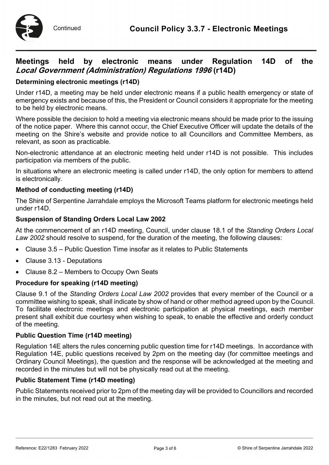

# **Meetings held by electronic means under Regulation 14D of the Local Government (Administration) Regulations 1996 (r14D)**

### **Determining electronic meetings (r14D)**

Under r14D, a meeting may be held under electronic means if a public health emergency or state of emergency exists and because of this, the President or Council considers it appropriate for the meeting to be held by electronic means.

Where possible the decision to hold a meeting via electronic means should be made prior to the issuing of the notice paper. Where this cannot occur, the Chief Executive Officer will update the details of the meeting on the Shire's website and provide notice to all Councillors and Committee Members, as relevant, as soon as practicable.

Non-electronic attendance at an electronic meeting held under r14D is not possible. This includes participation via members of the public.

In situations where an electronic meeting is called under r14D, the only option for members to attend is electronically.

### **Method of conducting meeting (r14D)**

The Shire of Serpentine Jarrahdale employs the Microsoft Teams platform for electronic meetings held under r14D.

### **Suspension of Standing Orders Local Law 2002**

At the commencement of an r14D meeting, Council, under clause 18.1 of the *Standing Orders Local Law 2002* should resolve to suspend, for the duration of the meeting, the following clauses:

- Clause 3.5 Public Question Time insofar as it relates to Public Statements
- Clause 3.13 Deputations
- Clause 8.2 Members to Occupy Own Seats

### **Procedure for speaking (r14D meeting)**

Clause 9.1 of the *Standing Orders Local Law 2002* provides that every member of the Council or a committee wishing to speak, shall indicate by show of hand or other method agreed upon by the Council. To facilitate electronic meetings and electronic participation at physical meetings, each member present shall exhibit due courtesy when wishing to speak, to enable the effective and orderly conduct of the meeting.

#### **Public Question Time (r14D meeting)**

Regulation 14E alters the rules concerning public question time for r14D meetings. In accordance with Regulation 14E, public questions received by 2pm on the meeting day (for committee meetings and Ordinary Council Meetings), the question and the response will be acknowledged at the meeting and recorded in the minutes but will not be physically read out at the meeting.

#### **Public Statement Time (r14D meeting)**

Public Statements received prior to 2pm of the meeting day will be provided to Councillors and recorded in the minutes, but not read out at the meeting.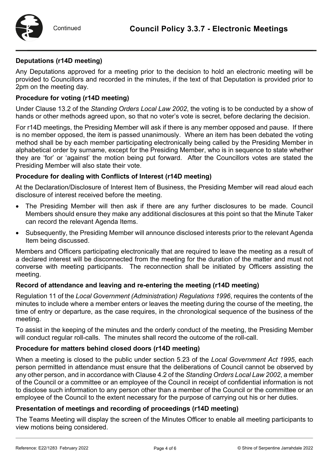

### **Deputations (r14D meeting)**

Any Deputations approved for a meeting prior to the decision to hold an electronic meeting will be provided to Councillors and recorded in the minutes, if the text of that Deputation is provided prior to 2pm on the meeting day.

### **Procedure for voting (r14D meeting)**

Under Clause 13.2 of the *Standing Orders Local Law 2002*, the voting is to be conducted by a show of hands or other methods agreed upon, so that no voter's vote is secret, before declaring the decision.

For r14D meetings, the Presiding Member will ask if there is any member opposed and pause. If there is no member opposed, the item is passed unanimously. Where an item has been debated the voting method shall be by each member participating electronically being called by the Presiding Member in alphabetical order by surname, except for the Presiding Member, who is in sequence to state whether they are 'for' or 'against' the motion being put forward. After the Councillors votes are stated the Presiding Member will also state their vote.

### **Procedure for dealing with Conflicts of Interest (r14D meeting)**

At the Declaration/Disclosure of Interest Item of Business, the Presiding Member will read aloud each disclosure of interest received before the meeting.

- The Presiding Member will then ask if there are any further disclosures to be made. Council Members should ensure they make any additional disclosures at this point so that the Minute Taker can record the relevant Agenda Items.
- Subsequently, the Presiding Member will announce disclosed interests prior to the relevant Agenda Item being discussed.

Members and Officers participating electronically that are required to leave the meeting as a result of a declared interest will be disconnected from the meeting for the duration of the matter and must not converse with meeting participants. The reconnection shall be initiated by Officers assisting the meeting.

### **Record of attendance and leaving and re-entering the meeting (r14D meeting)**

Regulation 11 of the *Local Government (Administration) Regulations 1996*, requires the contents of the minutes to include where a member enters or leaves the meeting during the course of the meeting, the time of entry or departure, as the case requires, in the chronological sequence of the business of the meeting.

To assist in the keeping of the minutes and the orderly conduct of the meeting, the Presiding Member will conduct regular roll-calls. The minutes shall record the outcome of the roll-call.

### **Procedure for matters behind closed doors (r14D meeting)**

When a meeting is closed to the public under section 5.23 of the *Local Government Act 1995*, each person permitted in attendance must ensure that the deliberations of Council cannot be observed by any other person, and in accordance with Clause 4.2 of the *Standing Orders Local Law 2002*, a member of the Council or a committee or an employee of the Council in receipt of confidential information is not to disclose such information to any person other than a member of the Council or the committee or an employee of the Council to the extent necessary for the purpose of carrying out his or her duties.

### **Presentation of meetings and recording of proceedings (r14D meeting)**

The Teams Meeting will display the screen of the Minutes Officer to enable all meeting participants to view motions being considered.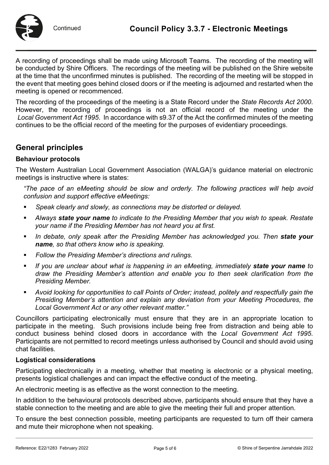

A recording of proceedings shall be made using Microsoft Teams. The recording of the meeting will be conducted by Shire Officers. The recordings of the meeting will be published on the Shire website at the time that the unconfirmed minutes is published. The recording of the meeting will be stopped in the event that meeting goes behind closed doors or if the meeting is adjourned and restarted when the meeting is opened or recommenced.

The recording of the proceedings of the meeting is a State Record under the *State Records Act 2000*. However, the recording of proceedings is not an official record of the meeting under the *Local Government Act 1995*. In accordance with s9.37 of the Act the confirmed minutes of the meeting continues to be the official record of the meeting for the purposes of evidentiary proceedings.

# **General principles**

### **Behaviour protocols**

The Western Australian Local Government Association (WALGA)'s guidance material on electronic meetings is instructive where is states:

*"The pace of an eMeeting should be slow and orderly. The following practices will help avoid confusion and support effective eMeetings:* 

- *Speak clearly and slowly, as connections may be distorted or delayed.*
- *Always state your name to indicate to the Presiding Member that you wish to speak. Restate your name if the Presiding Member has not heard you at first.*
- **II** In debate, only speak after the Presiding Member has acknowledged you. Then **state your** *name, so that others know who is speaking.*
- *Follow the Presiding Member's directions and rulings.*
- **If you are unclear about what is happening in an eMeeting, immediately state your name to** *draw the Presiding Member's attention and enable you to then seek clarification from the Presiding Member.*
- *Avoid looking for opportunities to call Points of Order; instead, politely and respectfully gain the Presiding Member's attention and explain any deviation from your Meeting Procedures, the Local Government Act or any other relevant matter."*

Councillors participating electronically must ensure that they are in an appropriate location to participate in the meeting. Such provisions include being free from distraction and being able to conduct business behind closed doors in accordance with the *Local Government Act 1995*. Participants are not permitted to record meetings unless authorised by Council and should avoid using chat facilities.

### **Logistical considerations**

Participating electronically in a meeting, whether that meeting is electronic or a physical meeting, presents logistical challenges and can impact the effective conduct of the meeting.

An electronic meeting is as effective as the worst connection to the meeting.

In addition to the behavioural protocols described above, participants should ensure that they have a stable connection to the meeting and are able to give the meeting their full and proper attention.

To ensure the best connection possible, meeting participants are requested to turn off their camera and mute their microphone when not speaking.